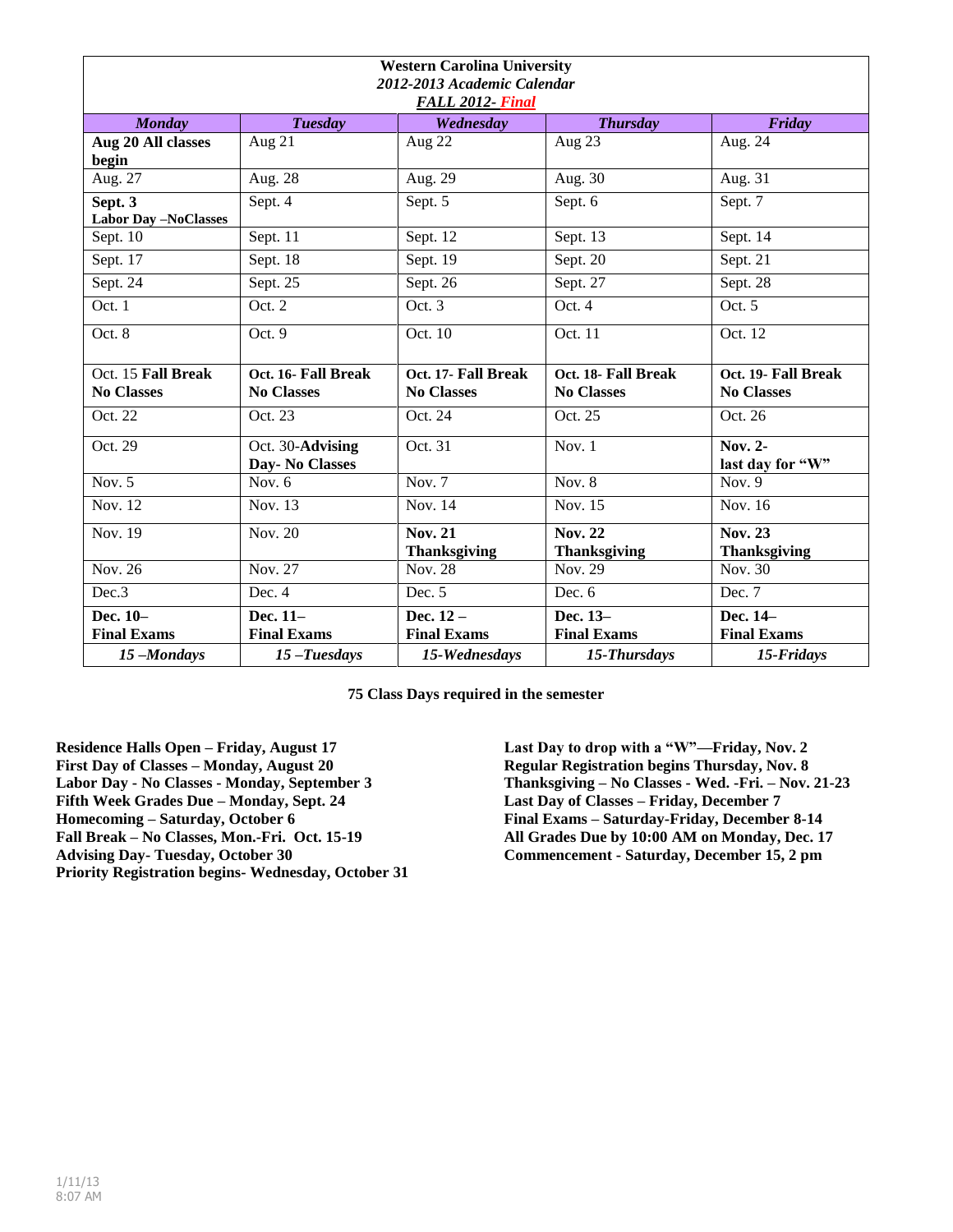| <b>Western Carolina University</b><br>2012-2013 Academic Calendar<br>FALL 2012- Final |                                          |                                          |                                          |                                          |  |  |
|---------------------------------------------------------------------------------------|------------------------------------------|------------------------------------------|------------------------------------------|------------------------------------------|--|--|
| <b>Monday</b>                                                                         | <b>Tuesday</b>                           | Wednesday                                | <b>Thursday</b>                          | Friday                                   |  |  |
| Aug 20 All classes<br>begin                                                           | Aug 21                                   | Aug 22                                   | Aug $23$                                 | Aug. $2\overline{4}$                     |  |  |
| Aug. 27                                                                               | Aug. 28                                  | Aug. 29                                  | Aug. 30                                  | Aug. 31                                  |  |  |
| Sept. $3$<br><b>Labor Day -NoClasses</b>                                              | Sept. 4                                  | Sept. 5                                  | Sept. 6                                  | Sept. 7                                  |  |  |
| Sept. 10                                                                              | Sept. 11                                 | Sept. 12                                 | Sept. 13                                 | Sept. 14                                 |  |  |
| Sept. 17                                                                              | Sept. 18                                 | Sept. 19                                 | Sept. 20                                 | Sept. 21                                 |  |  |
| Sept. 24                                                                              | Sept. 25                                 | Sept. 26                                 | Sept. 27                                 | Sept. 28                                 |  |  |
| Oct. 1                                                                                | Oct. 2                                   | Oct. 3                                   | Oct.4                                    | Oct. 5                                   |  |  |
| Oct. 8                                                                                | Oct. 9                                   | Oct. 10                                  | Oct. 11                                  | Oct. 12                                  |  |  |
| Oct. 15 Fall Break<br><b>No Classes</b>                                               | Oct. 16- Fall Break<br><b>No Classes</b> | Oct. 17- Fall Break<br><b>No Classes</b> | Oct. 18- Fall Break<br><b>No Classes</b> | Oct. 19- Fall Break<br><b>No Classes</b> |  |  |
| Oct. 22                                                                               | Oct. 23                                  | Oct. 24                                  | Oct. 25                                  | Oct. 26                                  |  |  |
| Oct. 29                                                                               | Oct. 30-Advising<br>Day- No Classes      | Oct. 31                                  | Nov. 1                                   | Nov. 2-<br>last day for "W"              |  |  |
| Nov. $5$                                                                              | Nov. $6$                                 | Nov. $7$                                 | Nov. $8$                                 | Nov. $9$                                 |  |  |
| Nov. 12                                                                               | Nov. 13                                  | Nov. 14                                  | Nov. 15                                  | Nov. 16                                  |  |  |
| Nov. 19                                                                               | Nov. 20                                  | <b>Nov. 21</b><br><b>Thanksgiving</b>    | <b>Nov. 22</b><br><b>Thanksgiving</b>    | <b>Nov. 23</b><br><b>Thanksgiving</b>    |  |  |
| Nov. 26                                                                               | Nov. 27                                  | Nov. 28                                  | Nov. 29                                  | Nov. 30                                  |  |  |
| Dec.3                                                                                 | Dec. 4                                   | Dec. 5                                   | Dec. 6                                   | Dec. 7                                   |  |  |
| Dec. 10-<br><b>Final Exams</b>                                                        | Dec. 11-<br><b>Final Exams</b>           | Dec. $12-$<br><b>Final Exams</b>         | Dec. 13-<br><b>Final Exams</b>           | Dec. 14-<br><b>Final Exams</b>           |  |  |
| 15-Mondays                                                                            | $15$ -Tuesdays                           | 15-Wednesdays                            | 15-Thursdays                             | 15-Fridays                               |  |  |

**75 Class Days required in the semester**

**Residence Halls Open – Friday, August 17 First Day of Classes – Monday, August 20 Labor Day - No Classes - Monday, September 3 Fifth Week Grades Due – Monday, Sept. 24 Homecoming – Saturday, October 6 Fall Break – No Classes, Mon.-Fri. Oct. 15-19 Advising Day- Tuesday, October 30 Priority Registration begins- Wednesday, October 31**

**Last Day to drop with a "W"—Friday, Nov. 2 Regular Registration begins Thursday, Nov. 8 Thanksgiving – No Classes - Wed. -Fri. – Nov. 21-23 Last Day of Classes – Friday, December 7 Final Exams – Saturday-Friday, December 8-14 All Grades Due by 10:00 AM on Monday, Dec. 17 Commencement - Saturday, December 15, 2 pm**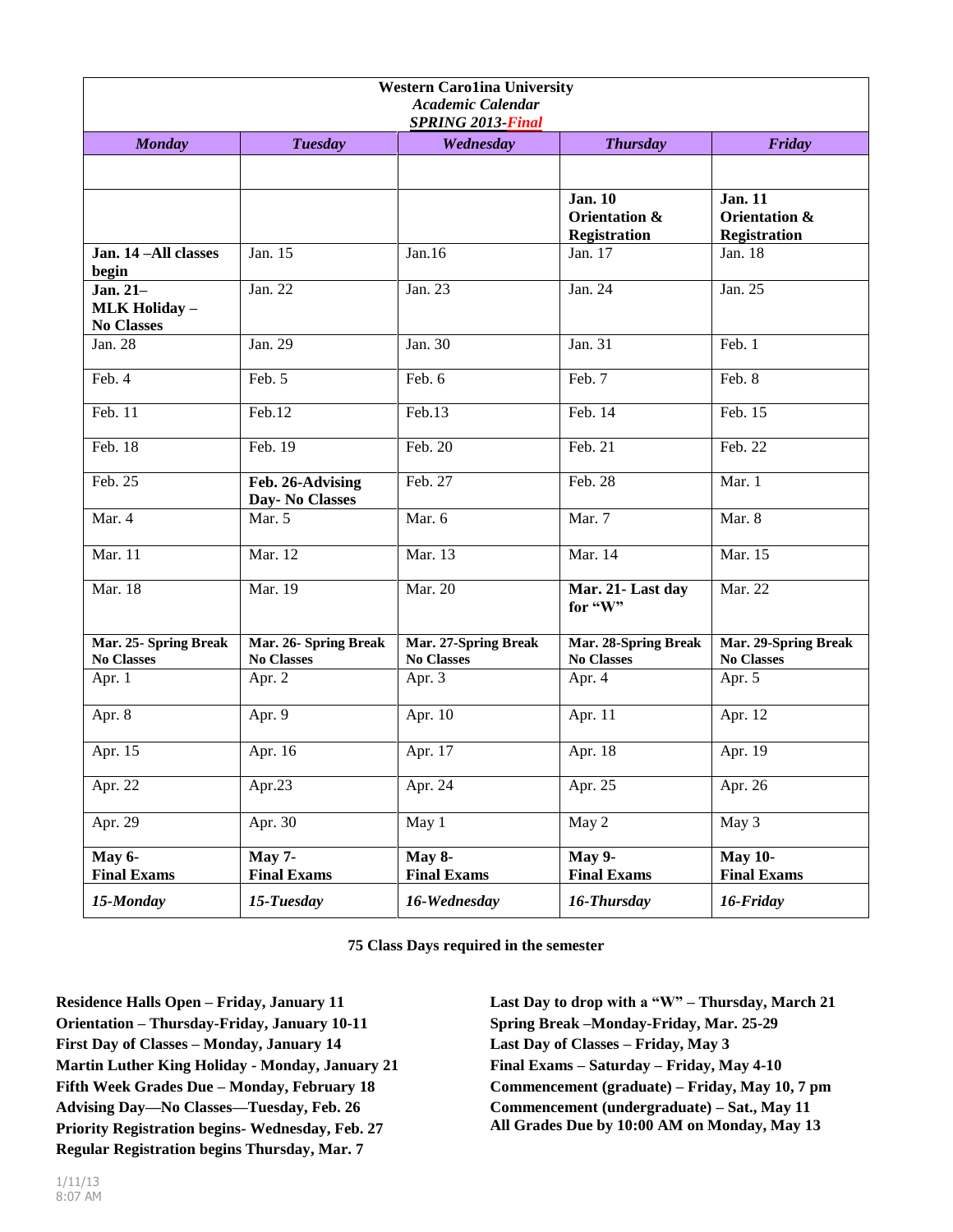| <b>Western Carolina University</b><br>Academic Calendar<br><b>SPRING 2013-Final</b> |                                     |                                           |                                                        |                                                        |  |
|-------------------------------------------------------------------------------------|-------------------------------------|-------------------------------------------|--------------------------------------------------------|--------------------------------------------------------|--|
| <b>Monday</b>                                                                       | <b>Tuesday</b>                      | Wednesday                                 | <b>Thursday</b>                                        | Friday                                                 |  |
|                                                                                     |                                     |                                           |                                                        |                                                        |  |
|                                                                                     |                                     |                                           | <b>Jan. 10</b><br>Orientation &<br><b>Registration</b> | <b>Jan. 11</b><br>Orientation &<br><b>Registration</b> |  |
| Jan. 14-All classes<br>begin                                                        | Jan. 15                             | Jan.16                                    | Jan. 17                                                | Jan. $18$                                              |  |
| Jan. 21-<br><b>MLK Holiday -</b><br><b>No Classes</b>                               | Jan. 22                             | Jan. 23                                   | Jan. 24                                                | Jan. 25                                                |  |
| Jan. 28                                                                             | Jan. 29                             | Jan. 30                                   | Jan. 31                                                | Feb. 1                                                 |  |
| Feb. 4                                                                              | Feb. 5                              | Feb. 6                                    | Feb. 7                                                 | Feb. 8                                                 |  |
| Feb. 11                                                                             | Feb.12                              | Feb.13                                    | Feb. 14                                                | Feb. 15                                                |  |
| Feb. $18$                                                                           | Feb. 19                             | Feb. 20                                   | Feb. 21                                                | Feb. 22                                                |  |
| Feb. 25                                                                             | Feb. 26-Advising<br>Day- No Classes | Feb. 27                                   | Feb. 28                                                | Mar. 1                                                 |  |
| Mar. 4                                                                              | Mar. 5                              | Mar. 6                                    | Mar. 7                                                 | Mar. 8                                                 |  |
| Mar. 11                                                                             | Mar. 12                             | Mar. 13                                   | Mar. 14                                                | Mar. 15                                                |  |
| Mar. 18                                                                             | Mar. 19                             | Mar. 20                                   | Mar. 21-Last day<br>for "W"                            | Mar. 22                                                |  |
| Mar. 25- Spring Break<br><b>No Classes</b>                                          | Mar. 26- Spring Break<br>No Classes | Mar. 27-Spring Break<br><b>No Classes</b> | Mar. 28-Spring Break<br><b>No Classes</b>              | Mar. 29-Spring Break<br><b>No Classes</b>              |  |
| Apr. 1                                                                              | Apr. 2                              | Apr. 3                                    | Apr. 4                                                 | Apr. 5                                                 |  |
| Apr. 8                                                                              | Apr. 9                              | Apr. 10                                   | Apr. 11                                                | Apr. 12                                                |  |
| Apr. 15                                                                             | Apr. 16                             | Apr. 17                                   | Apr. 18                                                | Apr. 19                                                |  |
| Apr. 22                                                                             | Apr.23                              | Apr. 24                                   | Apr. 25                                                | Apr. 26                                                |  |
| Apr. 29                                                                             | Apr. 30                             | May 1                                     | May 2                                                  | May 3                                                  |  |
| <b>May 6-</b><br><b>Final Exams</b>                                                 | $May 7-$<br><b>Final Exams</b>      | May 8-<br><b>Final Exams</b>              | May $\overline{9}$ -<br><b>Final Exams</b>             | <b>May 10-</b><br><b>Final Exams</b>                   |  |
| 15-Monday                                                                           | 15-Tuesday                          | 16-Wednesday                              | 16-Thursday                                            | 16-Friday                                              |  |

**75 Class Days required in the semester**

**Residence Halls Open – Friday, January 11 Orientation – Thursday-Friday, January 10-11 First Day of Classes – Monday, January 14 Martin Luther King Holiday - Monday, January 21 Fifth Week Grades Due – Monday, February 18 Advising Day—No Classes—Tuesday, Feb. 26 Priority Registration begins- Wednesday, Feb. 27 Regular Registration begins Thursday, Mar. 7**

**Last Day to drop with a "W" – Thursday, March 21 Spring Break –Monday-Friday, Mar. 25-29 Last Day of Classes – Friday, May 3 Final Exams – Saturday – Friday, May 4-10 Commencement (graduate) – Friday, May 10, 7 pm Commencement (undergraduate) – Sat., May 11 All Grades Due by 10:00 AM on Monday, May 13**